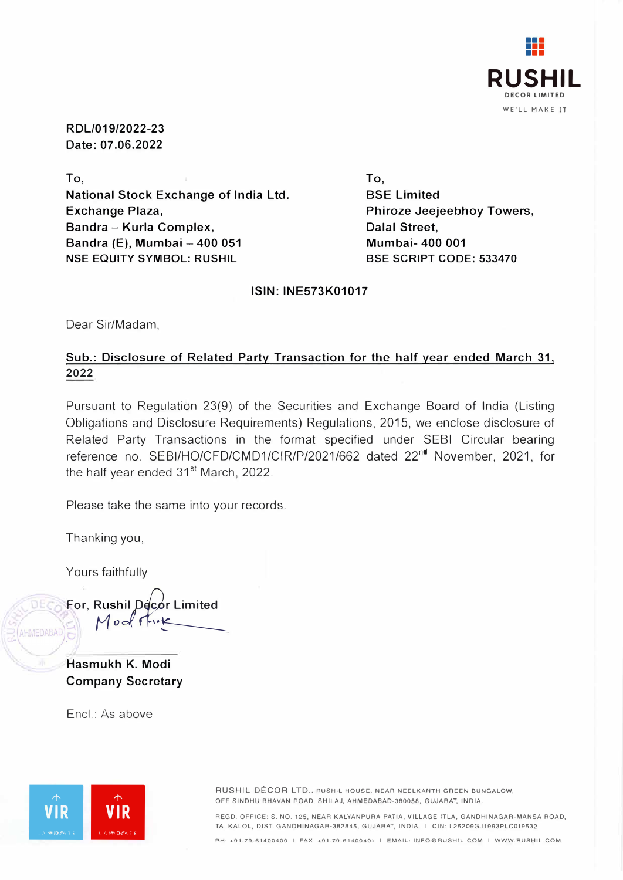

**RDL/019/2022-23 Date: 07.06.2022** 

**To, National Stock Exchange of India Ltd. Exchange Plaza, Sandra - Kurla Complex, Sandra (E), Mumbai - 400 051 NSE EQUITY SYMBOL: RUSHIL** 

**To, SSE Limited Phiroze Jeejeebhoy Towers, Dalal Street, Mumbai- 400 001 BSE SCRIPT CODE: 533470** 

## **ISIN: INE573K01017**

Dear Sir/Madam,

## **Sub.: Disclosure of Related Party Transaction for the half year ended March 31, 2022**

Pursuant to Regulation 23(9) of the Securities and Exchange Board of India (Listing Obligations and Disclosure Requirements) Regulations, 2015, we enclose disclosure of Related Party Transactions in the format specified under SEBI Circular bearing reference no. SEBI/HO/CFD/CMD1/CIR/P/2021/662 dated 22<sup>nd</sup> November, 2021, for the half year ended 31<sup>st</sup> March, 2022.

Please take the same into your records.

Thanking you,

Yours faithfully

**For, Ru shil** *pJ;Jir* **Limited .**  $Modf$ MEDABAD

**Hasmukh K. Modi Company Secretary** 

Encl.: As above



OFF SINDHU BHAVAN ROAD, SHILAJ, AHMEDABAD-380058, GUJARAT, INDIA.

REGD. OFFICE: S. NO. 125, NEAR KALYANPURA PATIA, VILLAGE ITLA, GANDHINAGAR-MANSA ROAD, TA. KALOL, DIST. GANDHINAGAR-382845, GUJARAT, INDIA. I CIN: L25209GJ1993PLC019532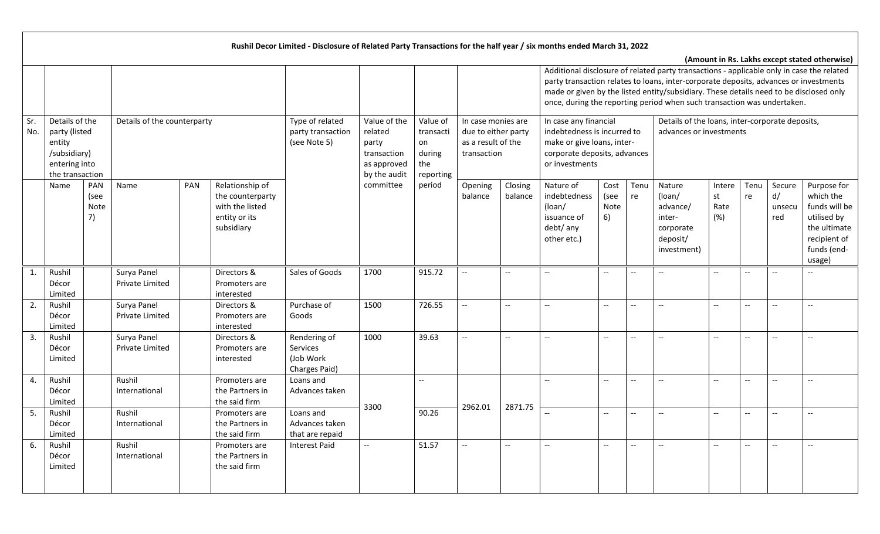|            |                                                                                               |                           |                                |            |                                                                                       | Rushil Decor Limited - Disclosure of Related Party Transactions for the half year / six months ended March 31, 2022 |                                                                                |                                                           |                                                                                |                          |                                                                                                                                      |                                               |                                                     |                                                                                                                                                                                                                                                                                                                                                         |                             |                          |                               |                                                                                                                   |
|------------|-----------------------------------------------------------------------------------------------|---------------------------|--------------------------------|------------|---------------------------------------------------------------------------------------|---------------------------------------------------------------------------------------------------------------------|--------------------------------------------------------------------------------|-----------------------------------------------------------|--------------------------------------------------------------------------------|--------------------------|--------------------------------------------------------------------------------------------------------------------------------------|-----------------------------------------------|-----------------------------------------------------|---------------------------------------------------------------------------------------------------------------------------------------------------------------------------------------------------------------------------------------------------------------------------------------------------------------------------------------------------------|-----------------------------|--------------------------|-------------------------------|-------------------------------------------------------------------------------------------------------------------|
|            |                                                                                               |                           |                                |            |                                                                                       |                                                                                                                     |                                                                                |                                                           |                                                                                |                          |                                                                                                                                      |                                               |                                                     | Additional disclosure of related party transactions - applicable only in case the related<br>party transaction relates to loans, inter-corporate deposits, advances or investments<br>made or given by the listed entity/subsidiary. These details need to be disclosed only<br>once, during the reporting period when such transaction was undertaken. |                             |                          |                               | (Amount in Rs. Lakhs except stated otherwise)                                                                     |
| Sr.<br>No. | Details of the<br>party (listed<br>entity<br>/subsidiary)<br>entering into<br>the transaction |                           | Details of the counterparty    |            |                                                                                       | Type of related<br>party transaction<br>(see Note 5)                                                                | Value of the<br>related<br>party<br>transaction<br>as approved<br>by the audit | Value of<br>transacti<br>on<br>during<br>the<br>reporting | In case monies are<br>due to either party<br>as a result of the<br>transaction |                          | In case any financial<br>indebtedness is incurred to<br>make or give loans, inter-<br>corporate deposits, advances<br>or investments |                                               |                                                     | Details of the loans, inter-corporate deposits,<br>advances or investments                                                                                                                                                                                                                                                                              |                             |                          |                               |                                                                                                                   |
|            | Name                                                                                          | PAN<br>(see<br>Note<br>7) | Name                           | <b>PAN</b> | Relationship of<br>the counterparty<br>with the listed<br>entity or its<br>subsidiary |                                                                                                                     | committee                                                                      | period                                                    | Opening<br>balance                                                             | Closing<br>balance       | Nature of<br>indebtedness<br>(loan/<br>issuance of<br>debt/ any<br>other etc.)                                                       | Cost<br>(see<br>Note<br>6)                    | Tenu<br>re                                          | Nature<br>(loan/<br>advance/<br>inter-<br>corporate<br>deposit/<br>investment)                                                                                                                                                                                                                                                                          | Intere<br>st<br>Rate<br>(%) | Tenu<br>re               | Secure<br>d/<br>unsecu<br>red | Purpose for<br>which the<br>funds will be<br>utilised by<br>the ultimate<br>recipient of<br>funds (end-<br>usage) |
| 1.         | Rushil<br>Décor<br>Limited                                                                    |                           | Surya Panel<br>Private Limited |            | Directors &<br>Promoters are<br>interested                                            | Sales of Goods                                                                                                      | 1700                                                                           | 915.72                                                    | $\overline{\phantom{a}}$                                                       | $-$                      |                                                                                                                                      | $-$                                           | $-$                                                 | $-$                                                                                                                                                                                                                                                                                                                                                     | $- -$                       |                          |                               |                                                                                                                   |
| 2.         | Rushil<br>Décor<br>Limited                                                                    |                           | Surya Panel<br>Private Limited |            | Directors &<br>Promoters are<br>interested                                            | Purchase of<br>Goods                                                                                                | 1500                                                                           | 726.55                                                    | $\overline{\phantom{a}}$                                                       | $-$                      | $\overline{\phantom{a}}$                                                                                                             | $\overline{\phantom{a}}$                      | $\hspace{0.05cm} -\hspace{0.05cm} -\hspace{0.05cm}$ | $\overline{a}$                                                                                                                                                                                                                                                                                                                                          | $\overline{\phantom{a}}$    | $\overline{\phantom{a}}$ |                               | $-$                                                                                                               |
| 3.         | Rushil<br>Décor<br>Limited                                                                    |                           | Surya Panel<br>Private Limited |            | Directors &<br>Promoters are<br>interested                                            | Rendering of<br>Services<br>(Job Work<br>Charges Paid)                                                              | 1000                                                                           | 39.63                                                     | $\overline{\phantom{a}}$                                                       | $\overline{\phantom{a}}$ | $\overline{\phantom{a}}$                                                                                                             | $\overline{\phantom{a}}$                      | $\overline{\phantom{a}}$                            | $\overline{a}$                                                                                                                                                                                                                                                                                                                                          | $- -$                       | $\qquad \qquad -$        |                               | $\overline{\phantom{a}}$                                                                                          |
| 4.         | Rushil<br>Décor<br>Limited                                                                    |                           | Rushil<br>International        |            | Promoters are<br>the Partners in<br>the said firm                                     | Loans and<br>Advances taken                                                                                         |                                                                                | $\overline{\phantom{a}}$                                  |                                                                                | 2871.75                  | н.                                                                                                                                   | ۵.                                            | $\overline{\phantom{a}}$                            |                                                                                                                                                                                                                                                                                                                                                         | --                          | $\qquad \qquad -$        |                               | --                                                                                                                |
| 5.         | Rushil<br>Décor<br>Limited                                                                    |                           | Rushil<br>International        |            | Promoters are<br>the Partners in<br>the said firm                                     | Loans and<br>Advances taken<br>that are repaid                                                                      | 3300                                                                           | 90.26                                                     | 2962.01                                                                        |                          |                                                                                                                                      | $-$                                           | $\overline{\phantom{a}}$                            |                                                                                                                                                                                                                                                                                                                                                         | --                          | $\overline{\phantom{a}}$ |                               | $-$                                                                                                               |
| 6.         | Rushil<br>Décor<br>Limited                                                                    |                           | Rushil<br>International        |            | Promoters are<br>the Partners in<br>the said firm                                     | <b>Interest Paid</b>                                                                                                | $--$                                                                           | 51.57                                                     | $\overline{\phantom{a}}$                                                       | $\overline{\phantom{a}}$ | $\mathbf{u}$                                                                                                                         | $\mathord{\hspace{1pt}\text{--}\hspace{1pt}}$ | $\overline{\phantom{a}}$                            | $\overline{\phantom{a}}$                                                                                                                                                                                                                                                                                                                                | $-$                         | $\overline{\phantom{a}}$ | $-$                           | $\overline{a}$                                                                                                    |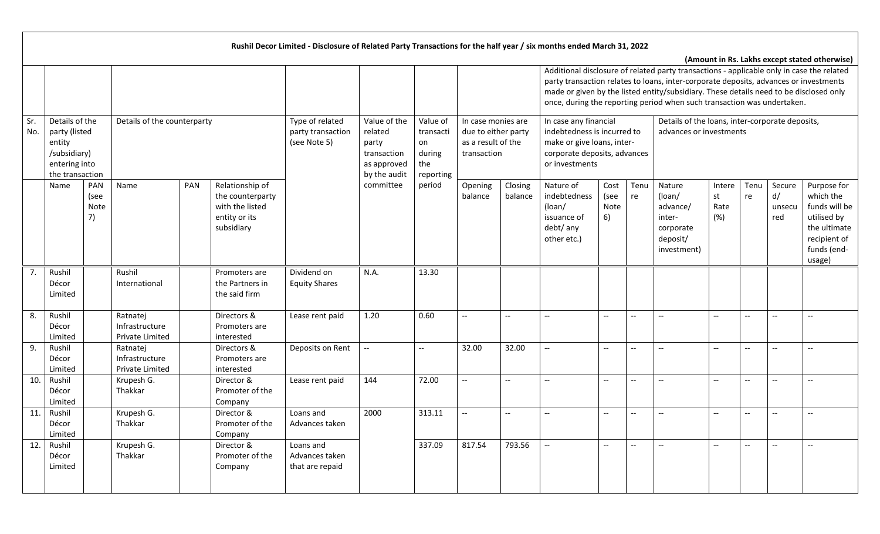|            |                                                                                               |                                               |     |                                                                                       | Rushil Decor Limited - Disclosure of Related Party Transactions for the half year / six months ended March 31, 2022 |                                                                                |                                                           |                                                                                |                    |                                                                                                                                                                                                                                                                                                                                                         |                            |                          |                                                                                |                             |                          |                               |                                                                                                                   |
|------------|-----------------------------------------------------------------------------------------------|-----------------------------------------------|-----|---------------------------------------------------------------------------------------|---------------------------------------------------------------------------------------------------------------------|--------------------------------------------------------------------------------|-----------------------------------------------------------|--------------------------------------------------------------------------------|--------------------|---------------------------------------------------------------------------------------------------------------------------------------------------------------------------------------------------------------------------------------------------------------------------------------------------------------------------------------------------------|----------------------------|--------------------------|--------------------------------------------------------------------------------|-----------------------------|--------------------------|-------------------------------|-------------------------------------------------------------------------------------------------------------------|
|            |                                                                                               |                                               |     |                                                                                       |                                                                                                                     |                                                                                |                                                           |                                                                                |                    | Additional disclosure of related party transactions - applicable only in case the related<br>party transaction relates to loans, inter-corporate deposits, advances or investments<br>made or given by the listed entity/subsidiary. These details need to be disclosed only<br>once, during the reporting period when such transaction was undertaken. |                            |                          |                                                                                |                             |                          |                               | (Amount in Rs. Lakhs except stated otherwise)                                                                     |
| Sr.<br>No. | Details of the<br>party (listed<br>entity<br>/subsidiary)<br>entering into<br>the transaction | Details of the counterparty                   |     |                                                                                       | Type of related<br>party transaction<br>(see Note 5)                                                                | Value of the<br>related<br>party<br>transaction<br>as approved<br>by the audit | Value of<br>transacti<br>on<br>during<br>the<br>reporting | In case monies are<br>due to either party<br>as a result of the<br>transaction |                    | In case any financial<br>indebtedness is incurred to<br>make or give loans, inter-<br>corporate deposits, advances<br>or investments                                                                                                                                                                                                                    |                            |                          | Details of the loans, inter-corporate deposits,<br>advances or investments     |                             |                          |                               |                                                                                                                   |
|            | Name                                                                                          | PAN<br>Name<br>(see<br>Note<br>7)             | PAN | Relationship of<br>the counterparty<br>with the listed<br>entity or its<br>subsidiary |                                                                                                                     | committee                                                                      | period                                                    | Opening<br>balance                                                             | Closing<br>balance | Nature of<br>indebtedness<br>(loan/<br>issuance of<br>debt/ any<br>other etc.)                                                                                                                                                                                                                                                                          | Cost<br>(see<br>Note<br>6) | Tenu<br>re               | Nature<br>(loan/<br>advance/<br>inter-<br>corporate<br>deposit/<br>investment) | Intere<br>st<br>Rate<br>(%) | Tenu<br>re               | Secure<br>d/<br>unsecu<br>red | Purpose for<br>which the<br>funds will be<br>utilised by<br>the ultimate<br>recipient of<br>funds (end-<br>usage) |
| 7.         | Rushil<br>Décor<br>Limited                                                                    | Rushil<br>International                       |     | Promoters are<br>the Partners in<br>the said firm                                     | Dividend on<br><b>Equity Shares</b>                                                                                 | N.A.                                                                           | 13.30                                                     |                                                                                |                    |                                                                                                                                                                                                                                                                                                                                                         |                            |                          |                                                                                |                             |                          |                               |                                                                                                                   |
| 8.         | Rushil<br>Décor<br>Limited                                                                    | Ratnatej<br>Infrastructure<br>Private Limited |     | Directors &<br>Promoters are<br>interested                                            | Lease rent paid                                                                                                     | 1.20                                                                           | 0.60                                                      | ΞĒ,                                                                            | $- -$              | $\overline{\phantom{a}}$                                                                                                                                                                                                                                                                                                                                | $\overline{\phantom{m}}$   | $\overline{\phantom{a}}$ | $\overline{a}$                                                                 | --                          | $-$                      | $\overline{\phantom{a}}$      | $-$                                                                                                               |
| 9.         | Rushil<br>Décor<br>Limited                                                                    | Ratnatej<br>Infrastructure<br>Private Limited |     | Directors &<br>Promoters are<br>interested                                            | Deposits on Rent                                                                                                    | --                                                                             | $\overline{\phantom{a}}$                                  | 32.00                                                                          | 32.00              |                                                                                                                                                                                                                                                                                                                                                         | $\overline{\phantom{a}}$   | $\overline{\phantom{a}}$ | $-$                                                                            | $-$                         | $-$                      |                               |                                                                                                                   |
| 10.        | Rushil<br>Décor<br>Limited                                                                    | Krupesh G.<br>Thakkar                         |     | Director &<br>Promoter of the<br>Company                                              | Lease rent paid                                                                                                     | 144                                                                            | 72.00                                                     | $\overline{\phantom{a}}$                                                       | $-$                |                                                                                                                                                                                                                                                                                                                                                         | $-$                        |                          | $\qquad \qquad -$                                                              | --                          | --                       |                               |                                                                                                                   |
| 11.        | Rushil<br>Décor<br>Limited                                                                    | Krupesh G.<br>Thakkar                         |     | Director &<br>Promoter of the<br>Company                                              | Loans and<br>Advances taken                                                                                         | 2000                                                                           | 313.11                                                    | $\overline{\phantom{a}}$                                                       | $-$                |                                                                                                                                                                                                                                                                                                                                                         | $-\!$                      | $-$                      | $\overline{\phantom{a}}$                                                       | --                          | --                       | --                            |                                                                                                                   |
| 12.        | Rushil<br>Décor<br>Limited                                                                    | Krupesh G.<br>Thakkar                         |     | Director &<br>Promoter of the<br>Company                                              | Loans and<br>Advances taken<br>that are repaid                                                                      |                                                                                | 337.09                                                    | 817.54                                                                         | 793.56             | $-$                                                                                                                                                                                                                                                                                                                                                     | $\overline{\phantom{a}}$   | $\overline{\phantom{m}}$ | $\overline{a}$                                                                 | $-$                         | $\overline{\phantom{a}}$ | $\overline{\phantom{a}}$      | $\overline{\phantom{a}}$                                                                                          |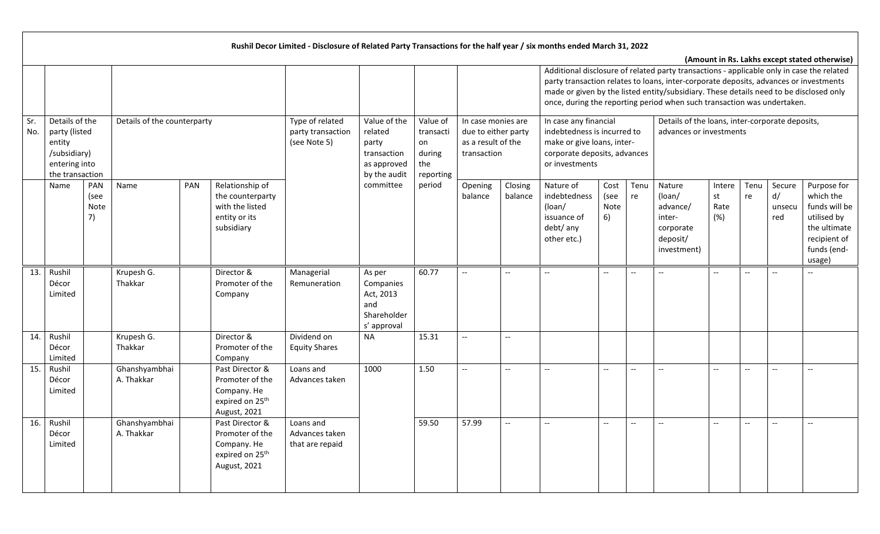|            |                                                                                               |                           |                             |                                                                                                  | Rushil Decor Limited - Disclosure of Related Party Transactions for the half year / six months ended March 31, 2022 |                                                                                |                                                           |                                                                                |                          |                                                                                                                                                                                                                                                                                                                                                         |                                               |                          |                                                                                |                             |            |                               |                                                                                                                   |
|------------|-----------------------------------------------------------------------------------------------|---------------------------|-----------------------------|--------------------------------------------------------------------------------------------------|---------------------------------------------------------------------------------------------------------------------|--------------------------------------------------------------------------------|-----------------------------------------------------------|--------------------------------------------------------------------------------|--------------------------|---------------------------------------------------------------------------------------------------------------------------------------------------------------------------------------------------------------------------------------------------------------------------------------------------------------------------------------------------------|-----------------------------------------------|--------------------------|--------------------------------------------------------------------------------|-----------------------------|------------|-------------------------------|-------------------------------------------------------------------------------------------------------------------|
|            |                                                                                               |                           |                             |                                                                                                  |                                                                                                                     |                                                                                |                                                           |                                                                                |                          | Additional disclosure of related party transactions - applicable only in case the related<br>party transaction relates to loans, inter-corporate deposits, advances or investments<br>made or given by the listed entity/subsidiary. These details need to be disclosed only<br>once, during the reporting period when such transaction was undertaken. |                                               |                          |                                                                                |                             |            |                               | (Amount in Rs. Lakhs except stated otherwise)                                                                     |
| Sr.<br>No. | Details of the<br>party (listed<br>entity<br>/subsidiary)<br>entering into<br>the transaction |                           | Details of the counterparty |                                                                                                  | Type of related<br>party transaction<br>(see Note 5)                                                                | Value of the<br>related<br>party<br>transaction<br>as approved<br>by the audit | Value of<br>transacti<br>on<br>during<br>the<br>reporting | In case monies are<br>due to either party<br>as a result of the<br>transaction |                          | In case any financial<br>indebtedness is incurred to<br>make or give loans, inter-<br>corporate deposits, advances<br>or investments                                                                                                                                                                                                                    |                                               |                          | Details of the loans, inter-corporate deposits,<br>advances or investments     |                             |            |                               |                                                                                                                   |
|            | Name                                                                                          | PAN<br>(see<br>Note<br>7) | PAN<br>Name                 | Relationship of<br>the counterparty<br>with the listed<br>entity or its<br>subsidiary            |                                                                                                                     | committee                                                                      | period                                                    | Opening<br>balance                                                             | Closing<br>balance       | Nature of<br>indebtedness<br>(loan/<br>issuance of<br>debt/ any<br>other etc.)                                                                                                                                                                                                                                                                          | Cost<br>(see<br>Note<br>6)                    | Tenu<br>re               | Nature<br>(loan/<br>advance/<br>inter-<br>corporate<br>deposit/<br>investment) | Intere<br>st<br>Rate<br>(%) | Tenu<br>re | Secure<br>d/<br>unsecu<br>red | Purpose for<br>which the<br>funds will be<br>utilised by<br>the ultimate<br>recipient of<br>funds (end-<br>usage) |
| 13.        | Rushil<br>Décor<br>Limited                                                                    |                           | Krupesh G.<br>Thakkar       | Director &<br>Promoter of the<br>Company                                                         | Managerial<br>Remuneration                                                                                          | As per<br>Companies<br>Act, 2013<br>and<br>Shareholder<br>s' approval          | 60.77                                                     | $\overline{\phantom{a}}$                                                       |                          |                                                                                                                                                                                                                                                                                                                                                         | $\overline{\phantom{a}}$                      | $\overline{\phantom{a}}$ | $\overline{\phantom{a}}$                                                       | $-$                         |            |                               |                                                                                                                   |
| 14.        | Rushil<br>Décor<br>Limited                                                                    |                           | Krupesh G.<br>Thakkar       | Director &<br>Promoter of the<br>Company                                                         | Dividend on<br><b>Equity Shares</b>                                                                                 | <b>NA</b>                                                                      | 15.31                                                     | $\overline{\phantom{a}}$                                                       | $\overline{\phantom{a}}$ |                                                                                                                                                                                                                                                                                                                                                         |                                               |                          |                                                                                |                             |            |                               |                                                                                                                   |
| 15.        | Rushil<br>Décor<br>Limited                                                                    |                           | Ghanshyambhai<br>A. Thakkar | Past Director &<br>Promoter of the<br>Company. He<br>expired on 25 <sup>th</sup><br>August, 2021 | Loans and<br>Advances taken                                                                                         | 1000                                                                           | 1.50                                                      | $\overline{\phantom{a}}$                                                       | --                       |                                                                                                                                                                                                                                                                                                                                                         | $\overline{\phantom{a}}$                      |                          | $\overline{\phantom{a}}$                                                       | $-$                         |            |                               |                                                                                                                   |
| 16.        | Rushil<br>Décor<br>Limited                                                                    |                           | Ghanshyambhai<br>A. Thakkar | Past Director &<br>Promoter of the<br>Company. He<br>expired on 25 <sup>th</sup><br>August, 2021 | Loans and<br>Advances taken<br>that are repaid                                                                      |                                                                                | 59.50                                                     | 57.99                                                                          | $\overline{\phantom{a}}$ | $\mathbf{u}$                                                                                                                                                                                                                                                                                                                                            | $\mathord{\hspace{1pt}\text{--}\hspace{1pt}}$ | $\overline{\phantom{a}}$ | $\overline{\phantom{a}}$                                                       | $\overline{\phantom{a}}$    | $- -$      | $\overline{\phantom{a}}$      |                                                                                                                   |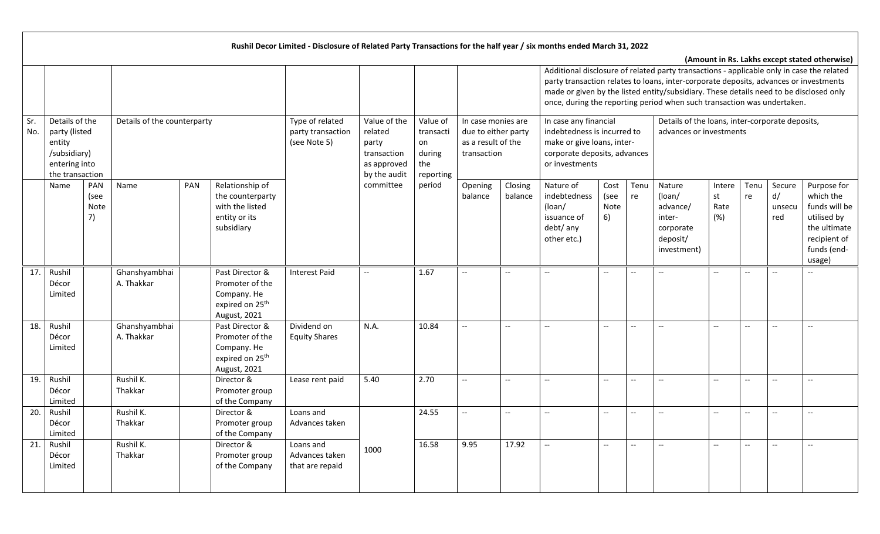|            |                                                                                                                                                                                                          |  |                             |  |                                                                                                  | Rushil Decor Limited - Disclosure of Related Party Transactions for the half year / six months ended March 31, 2022 |                                                                                |                                                           |                                                                                |                          |                                                                                                                                                                                                                                                                                                                                                         |                                               |                                               |                                                                                |                             |            |                               |                                                                                                                   |
|------------|----------------------------------------------------------------------------------------------------------------------------------------------------------------------------------------------------------|--|-----------------------------|--|--------------------------------------------------------------------------------------------------|---------------------------------------------------------------------------------------------------------------------|--------------------------------------------------------------------------------|-----------------------------------------------------------|--------------------------------------------------------------------------------|--------------------------|---------------------------------------------------------------------------------------------------------------------------------------------------------------------------------------------------------------------------------------------------------------------------------------------------------------------------------------------------------|-----------------------------------------------|-----------------------------------------------|--------------------------------------------------------------------------------|-----------------------------|------------|-------------------------------|-------------------------------------------------------------------------------------------------------------------|
|            |                                                                                                                                                                                                          |  |                             |  |                                                                                                  |                                                                                                                     |                                                                                |                                                           |                                                                                |                          | Additional disclosure of related party transactions - applicable only in case the related<br>party transaction relates to loans, inter-corporate deposits, advances or investments<br>made or given by the listed entity/subsidiary. These details need to be disclosed only<br>once, during the reporting period when such transaction was undertaken. |                                               |                                               |                                                                                |                             |            |                               | (Amount in Rs. Lakhs except stated otherwise)                                                                     |
| Sr.<br>No. | Details of the<br>Details of the counterparty<br>party (listed<br>entity<br>/subsidiary)<br>entering into<br>the transaction<br>PAN<br><b>PAN</b><br>Name<br>Name<br>(see<br>Note<br>7)<br>entity or its |  |                             |  |                                                                                                  | Type of related<br>party transaction<br>(see Note 5)                                                                | Value of the<br>related<br>party<br>transaction<br>as approved<br>by the audit | Value of<br>transacti<br>on<br>during<br>the<br>reporting | In case monies are<br>due to either party<br>as a result of the<br>transaction |                          | In case any financial<br>indebtedness is incurred to<br>make or give loans, inter-<br>corporate deposits, advances<br>or investments                                                                                                                                                                                                                    |                                               |                                               | Details of the loans, inter-corporate deposits,<br>advances or investments     |                             |            |                               |                                                                                                                   |
|            |                                                                                                                                                                                                          |  |                             |  | Relationship of<br>the counterparty<br>with the listed<br>subsidiary                             |                                                                                                                     | committee                                                                      | period                                                    | Opening<br>balance                                                             | Closing<br>balance       | Nature of<br>indebtedness<br>(loan/<br>issuance of<br>debt/ any<br>other etc.)                                                                                                                                                                                                                                                                          | Cost<br>(see<br>Note<br>6)                    | Tenu<br>re                                    | Nature<br>(loan/<br>advance/<br>inter-<br>corporate<br>deposit/<br>investment) | Intere<br>st<br>Rate<br>(%) | Tenu<br>re | Secure<br>d/<br>unsecu<br>red | Purpose for<br>which the<br>funds will be<br>utilised by<br>the ultimate<br>recipient of<br>funds (end-<br>usage) |
| 17.        | Rushil<br>Décor<br>Limited                                                                                                                                                                               |  | Ghanshyambhai<br>A. Thakkar |  | Past Director &<br>Promoter of the<br>Company. He<br>expired on 25 <sup>th</sup><br>August, 2021 | <b>Interest Paid</b>                                                                                                | $\overline{\phantom{a}}$                                                       | 1.67                                                      | $-$                                                                            | $-$                      | $\overline{\phantom{a}}$                                                                                                                                                                                                                                                                                                                                | $\overline{\phantom{a}}$                      | $-$                                           | $\qquad \qquad -$                                                              | $-$                         | $- -$      |                               |                                                                                                                   |
| 18.        | Rushil<br>Décor<br>Limited                                                                                                                                                                               |  | Ghanshyambhai<br>A. Thakkar |  | Past Director &<br>Promoter of the<br>Company. He<br>expired on 25 <sup>th</sup><br>August, 2021 | Dividend on<br><b>Equity Shares</b>                                                                                 | N.A.                                                                           | 10.84                                                     | $-$                                                                            | $\overline{a}$           | $\overline{\phantom{a}}$                                                                                                                                                                                                                                                                                                                                | $\overline{\phantom{a}}$                      | $\overline{\phantom{a}}$                      | $-$                                                                            | $- -$                       | $-$        | $-$                           |                                                                                                                   |
| 19.        | Rushil<br>Décor<br>Limited                                                                                                                                                                               |  | Rushil K.<br>Thakkar        |  | Director &<br>Promoter group<br>of the Company                                                   | Lease rent paid                                                                                                     | 5.40                                                                           | 2.70                                                      | $-$                                                                            | --                       | --                                                                                                                                                                                                                                                                                                                                                      | $\overline{\phantom{a}}$                      |                                               | $\qquad \qquad -$                                                              | --                          | --         |                               |                                                                                                                   |
| 20.        | Rushil<br>Décor<br>Limited                                                                                                                                                                               |  | Rushil K.<br>Thakkar        |  | Director &<br>Promoter group<br>of the Company                                                   | Loans and<br>Advances taken                                                                                         |                                                                                | 24.55                                                     | $-$                                                                            | $\overline{\phantom{a}}$ | $\overline{\phantom{a}}$                                                                                                                                                                                                                                                                                                                                | $\overline{\phantom{a}}$                      | $-$                                           | $\overline{\phantom{a}}$                                                       | --                          |            |                               |                                                                                                                   |
| 21.        | Rushil<br>Décor<br>Limited                                                                                                                                                                               |  | Rushil K.<br>Thakkar        |  | Director &<br>Promoter group<br>of the Company                                                   | Loans and<br>Advances taken<br>that are repaid                                                                      | 1000                                                                           | 16.58                                                     | 9.95                                                                           | 17.92                    | $\mathord{\hspace{1pt}\text{--}\hspace{1pt}}$                                                                                                                                                                                                                                                                                                           | $\mathord{\hspace{1pt}\text{--}\hspace{1pt}}$ | $\mathord{\hspace{1pt}\text{--}\hspace{1pt}}$ | $\overline{a}$                                                                 | $-$                         | $--$       | $\overline{\phantom{a}}$      | $\hspace{0.05cm} \ldots$                                                                                          |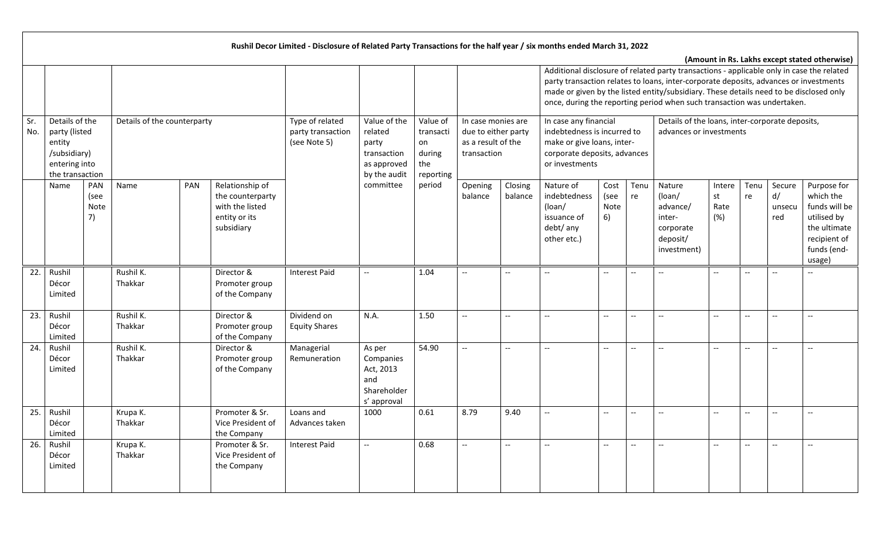|            |                                                                                               |                           |                             |                                                                                       | Rushil Decor Limited - Disclosure of Related Party Transactions for the half year / six months ended March 31, 2022 |                                                                                |                                                           |                                                                                |                             |                                                                                                                                                                                                                                                                                                                                                         |                                                     |                                               |                                                                                |                             |                          |                               |                                                                                                                   |
|------------|-----------------------------------------------------------------------------------------------|---------------------------|-----------------------------|---------------------------------------------------------------------------------------|---------------------------------------------------------------------------------------------------------------------|--------------------------------------------------------------------------------|-----------------------------------------------------------|--------------------------------------------------------------------------------|-----------------------------|---------------------------------------------------------------------------------------------------------------------------------------------------------------------------------------------------------------------------------------------------------------------------------------------------------------------------------------------------------|-----------------------------------------------------|-----------------------------------------------|--------------------------------------------------------------------------------|-----------------------------|--------------------------|-------------------------------|-------------------------------------------------------------------------------------------------------------------|
|            |                                                                                               |                           |                             |                                                                                       |                                                                                                                     |                                                                                |                                                           |                                                                                |                             | Additional disclosure of related party transactions - applicable only in case the related<br>party transaction relates to loans, inter-corporate deposits, advances or investments<br>made or given by the listed entity/subsidiary. These details need to be disclosed only<br>once, during the reporting period when such transaction was undertaken. |                                                     |                                               |                                                                                |                             |                          |                               | (Amount in Rs. Lakhs except stated otherwise)                                                                     |
| Sr.<br>No. | Details of the<br>party (listed<br>entity<br>/subsidiary)<br>entering into<br>the transaction |                           | Details of the counterparty |                                                                                       | Type of related<br>party transaction<br>(see Note 5)                                                                | Value of the<br>related<br>party<br>transaction<br>as approved<br>by the audit | Value of<br>transacti<br>on<br>during<br>the<br>reporting | In case monies are<br>due to either party<br>as a result of the<br>transaction |                             | In case any financial<br>indebtedness is incurred to<br>make or give loans, inter-<br>corporate deposits, advances<br>or investments                                                                                                                                                                                                                    |                                                     |                                               | Details of the loans, inter-corporate deposits,<br>advances or investments     |                             |                          |                               |                                                                                                                   |
|            | Name                                                                                          | PAN<br>(see<br>Note<br>7) | PAN<br>Name                 | Relationship of<br>the counterparty<br>with the listed<br>entity or its<br>subsidiary |                                                                                                                     | committee                                                                      | period                                                    | Opening<br>balance                                                             | Closing<br>balance          | Nature of<br>indebtedness<br>$($ loan $/$<br>issuance of<br>debt/ any<br>other etc.)                                                                                                                                                                                                                                                                    | Cost<br>(see<br>Note<br>6)                          | Tenu<br>re                                    | Nature<br>(loan/<br>advance/<br>inter-<br>corporate<br>deposit/<br>investment) | Intere<br>st<br>Rate<br>(%) | Tenu<br>re               | Secure<br>d/<br>unsecu<br>red | Purpose for<br>which the<br>funds will be<br>utilised by<br>the ultimate<br>recipient of<br>funds (end-<br>usage) |
| 22.        | Rushil<br>Décor<br>Limited                                                                    |                           | Rushil K.<br>Thakkar        | Director &<br>Promoter group<br>of the Company                                        | <b>Interest Paid</b>                                                                                                | $\overline{\phantom{a}}$                                                       | 1.04                                                      | $\overline{\phantom{a}}$                                                       | $-$                         | $-$                                                                                                                                                                                                                                                                                                                                                     | $\overline{\phantom{a}}$                            |                                               | $\overline{\phantom{a}}$                                                       | $-$                         | $- -$                    |                               |                                                                                                                   |
| 23.        | Rushil<br>Décor<br>Limited                                                                    |                           | Rushil K.<br>Thakkar        | Director &<br>Promoter group<br>of the Company                                        | Dividend on<br><b>Equity Shares</b>                                                                                 | N.A.                                                                           | 1.50                                                      | $\overline{\phantom{a}}$                                                       | $-$                         | $\overline{\phantom{a}}$                                                                                                                                                                                                                                                                                                                                | $\overline{\phantom{a}}$                            | $\overline{\phantom{a}}$                      | $\overline{\phantom{a}}$                                                       | $-$                         | $\overline{\phantom{a}}$ | $-$                           |                                                                                                                   |
| 24.        | Rushil<br>Décor<br>Limited                                                                    |                           | Rushil K.<br>Thakkar        | Director &<br>Promoter group<br>of the Company                                        | Managerial<br>Remuneration                                                                                          | As per<br>Companies<br>Act, 2013<br>and<br>Shareholder<br>s' approval          | 54.90                                                     | $\overline{\phantom{a}}$                                                       | $\overline{\phantom{a}}$    | $- -$                                                                                                                                                                                                                                                                                                                                                   | $\hspace{0.05cm} -\hspace{0.05cm} -\hspace{0.05cm}$ | $\overline{\phantom{a}}$                      | $\overline{\phantom{a}}$                                                       | $-$                         | $- -$                    | --                            |                                                                                                                   |
| 25.        | Rushil<br>Décor<br>Limited                                                                    |                           | Krupa K.<br>Thakkar         | Promoter & Sr.<br>Vice President of<br>the Company                                    | Loans and<br>Advances taken                                                                                         | 1000                                                                           | 0.61                                                      | 8.79                                                                           | 9.40                        | $\overline{\phantom{a}}$                                                                                                                                                                                                                                                                                                                                | $\overline{\phantom{a}}$                            |                                               | $\overline{\phantom{a}}$                                                       | --                          | --                       |                               |                                                                                                                   |
| 26.        | Rushil<br>Décor<br>Limited                                                                    |                           | Krupa K.<br>Thakkar         | Promoter & Sr.<br>Vice President of<br>the Company                                    | <b>Interest Paid</b>                                                                                                | $\overline{\phantom{a}}$                                                       | 0.68                                                      | $\mathord{\hspace{1pt}\text{--}\hspace{1pt}}$                                  | $\mathcal{L}_{\mathcal{F}}$ | $\mathord{\hspace{1pt}\text{--}\hspace{1pt}}$                                                                                                                                                                                                                                                                                                           | $\mathord{\hspace{1pt}\text{--}\hspace{1pt}}$       | $\mathord{\hspace{1pt}\text{--}\hspace{1pt}}$ | $\overline{\phantom{a}}$                                                       | $-$                         | $\overline{\phantom{a}}$ | $\overline{\phantom{a}}$      | $\hspace{0.05cm} \ldots$                                                                                          |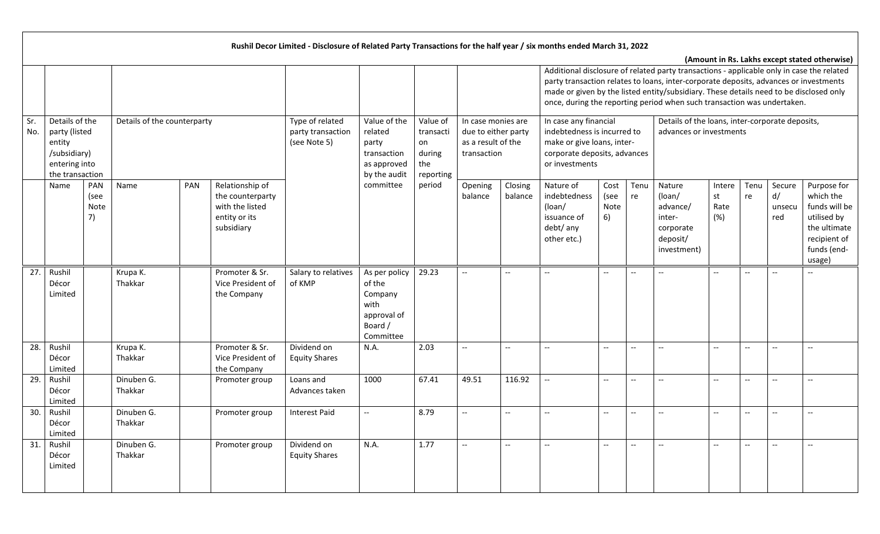|            |                                                                                                                                                                                                   |  |                       |  |                                                                      | Rushil Decor Limited - Disclosure of Related Party Transactions for the half year / six months ended March 31, 2022 |                                                                                   |                                                           |                                                                                |                          |                                                                                                                                                                                                                                                                                                                                                         |                            |                          |                                                                                |                             |                          |                               |                                                                                                                   |
|------------|---------------------------------------------------------------------------------------------------------------------------------------------------------------------------------------------------|--|-----------------------|--|----------------------------------------------------------------------|---------------------------------------------------------------------------------------------------------------------|-----------------------------------------------------------------------------------|-----------------------------------------------------------|--------------------------------------------------------------------------------|--------------------------|---------------------------------------------------------------------------------------------------------------------------------------------------------------------------------------------------------------------------------------------------------------------------------------------------------------------------------------------------------|----------------------------|--------------------------|--------------------------------------------------------------------------------|-----------------------------|--------------------------|-------------------------------|-------------------------------------------------------------------------------------------------------------------|
|            |                                                                                                                                                                                                   |  |                       |  |                                                                      |                                                                                                                     |                                                                                   |                                                           |                                                                                |                          | Additional disclosure of related party transactions - applicable only in case the related<br>party transaction relates to loans, inter-corporate deposits, advances or investments<br>made or given by the listed entity/subsidiary. These details need to be disclosed only<br>once, during the reporting period when such transaction was undertaken. |                            |                          |                                                                                |                             |                          |                               | (Amount in Rs. Lakhs except stated otherwise)                                                                     |
| Sr.<br>No. | Details of the counterparty<br>Details of the<br>party (listed<br>entity<br>/subsidiary)<br>entering into<br>the transaction<br>PAN<br>PAN<br>Name<br>Name<br>(see<br>Note<br>7)<br>entity or its |  |                       |  |                                                                      | Type of related<br>party transaction<br>(see Note 5)                                                                | Value of the<br>related<br>party<br>transaction<br>as approved<br>by the audit    | Value of<br>transacti<br>on<br>during<br>the<br>reporting | In case monies are<br>due to either party<br>as a result of the<br>transaction |                          | In case any financial<br>indebtedness is incurred to<br>make or give loans, inter-<br>corporate deposits, advances<br>or investments                                                                                                                                                                                                                    |                            |                          | Details of the loans, inter-corporate deposits,<br>advances or investments     |                             |                          |                               |                                                                                                                   |
|            |                                                                                                                                                                                                   |  |                       |  | Relationship of<br>the counterparty<br>with the listed<br>subsidiary |                                                                                                                     | committee                                                                         | period                                                    | Opening<br>balance                                                             | Closing<br>balance       | Nature of<br>indebtedness<br>$($ loan $/$<br>issuance of<br>debt/ any<br>other etc.)                                                                                                                                                                                                                                                                    | Cost<br>(see<br>Note<br>6) | Tenu<br>re               | Nature<br>(loan/<br>advance/<br>inter-<br>corporate<br>deposit/<br>investment) | Intere<br>st<br>Rate<br>(%) | Tenu<br>re               | Secure<br>d/<br>unsecu<br>red | Purpose for<br>which the<br>funds will be<br>utilised by<br>the ultimate<br>recipient of<br>funds (end-<br>usage) |
| 27.        | Rushil<br>Décor<br>Limited                                                                                                                                                                        |  | Krupa K.<br>Thakkar   |  | Promoter & Sr.<br>Vice President of<br>the Company                   | Salary to relatives<br>of KMP                                                                                       | As per policy<br>of the<br>Company<br>with<br>approval of<br>Board /<br>Committee | 29.23                                                     | $-$                                                                            | $-$                      | $\overline{\phantom{a}}$                                                                                                                                                                                                                                                                                                                                | $\overline{\phantom{a}}$   | $\overline{\phantom{a}}$ | $\overline{\phantom{a}}$                                                       | --                          | $- -$                    |                               |                                                                                                                   |
| 28.        | Rushil<br>Décor<br>Limited                                                                                                                                                                        |  | Krupa K.<br>Thakkar   |  | Promoter & Sr.<br>Vice President of<br>the Company                   | Dividend on<br><b>Equity Shares</b>                                                                                 | N.A.                                                                              | 2.03                                                      | $-$                                                                            | $\overline{\phantom{a}}$ | $\hspace{0.05cm} -\hspace{0.05cm} -\hspace{0.05cm}$                                                                                                                                                                                                                                                                                                     | $\hspace{0.05cm} \ldots$   | $\overline{\phantom{a}}$ | $\qquad \qquad -$                                                              | --                          | $- -$                    | $-$                           |                                                                                                                   |
| 29.        | Rushil<br>Décor<br>Limited                                                                                                                                                                        |  | Dinuben G.<br>Thakkar |  | Promoter group                                                       | Loans and<br>Advances taken                                                                                         | 1000                                                                              | 67.41                                                     | 49.51                                                                          | 116.92                   | $\overline{\phantom{a}}$                                                                                                                                                                                                                                                                                                                                | $\overline{\phantom{a}}$   | $-$                      | $-$                                                                            | $-$                         |                          | $-$                           |                                                                                                                   |
| 30.        | Rushil<br>Décor<br>Limited                                                                                                                                                                        |  | Dinuben G.<br>Thakkar |  | Promoter group                                                       | <b>Interest Paid</b>                                                                                                | $\overline{\phantom{a}}$                                                          | 8.79                                                      | $-$                                                                            | --                       | $\overline{\phantom{a}}$                                                                                                                                                                                                                                                                                                                                | $\overline{a}$             | $-$                      | $\overline{\phantom{a}}$                                                       | $- -$                       | --                       | --                            |                                                                                                                   |
| 31.        | Rushil<br>Décor<br>Limited                                                                                                                                                                        |  | Dinuben G.<br>Thakkar |  | Promoter group                                                       | Dividend on<br><b>Equity Shares</b>                                                                                 | N.A.                                                                              | 1.77                                                      | $-$                                                                            | $\overline{\phantom{a}}$ |                                                                                                                                                                                                                                                                                                                                                         | $\overline{\phantom{a}}$   | $\overline{\phantom{m}}$ | $-$                                                                            | --                          | $\overline{\phantom{0}}$ | $\overline{\phantom{a}}$      |                                                                                                                   |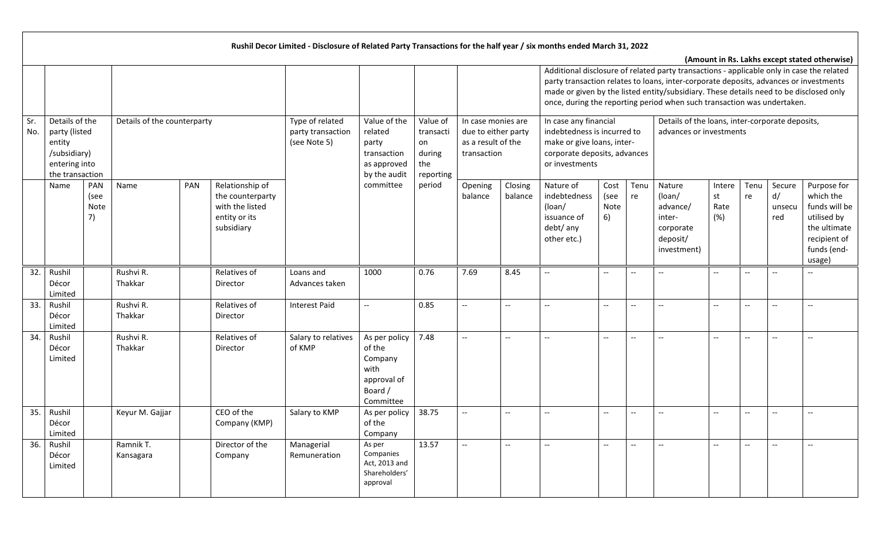|            |                                                                                               |                           |                             |     |                                                                                       | Rushil Decor Limited - Disclosure of Related Party Transactions for the half year / six months ended March 31, 2022 |                                                                                   |                                                           |                                                                                |                          |                                                                                                                                                                                                                                                                                                                                                         |                            |                          |                                                                                |                             |                          |                               |                                                                                                                   |
|------------|-----------------------------------------------------------------------------------------------|---------------------------|-----------------------------|-----|---------------------------------------------------------------------------------------|---------------------------------------------------------------------------------------------------------------------|-----------------------------------------------------------------------------------|-----------------------------------------------------------|--------------------------------------------------------------------------------|--------------------------|---------------------------------------------------------------------------------------------------------------------------------------------------------------------------------------------------------------------------------------------------------------------------------------------------------------------------------------------------------|----------------------------|--------------------------|--------------------------------------------------------------------------------|-----------------------------|--------------------------|-------------------------------|-------------------------------------------------------------------------------------------------------------------|
|            |                                                                                               |                           |                             |     |                                                                                       |                                                                                                                     |                                                                                   |                                                           |                                                                                |                          | Additional disclosure of related party transactions - applicable only in case the related<br>party transaction relates to loans, inter-corporate deposits, advances or investments<br>made or given by the listed entity/subsidiary. These details need to be disclosed only<br>once, during the reporting period when such transaction was undertaken. |                            |                          |                                                                                |                             |                          |                               | (Amount in Rs. Lakhs except stated otherwise)                                                                     |
| Sr.<br>No. | Details of the<br>party (listed<br>entity<br>/subsidiary)<br>entering into<br>the transaction |                           | Details of the counterparty |     |                                                                                       | Type of related<br>party transaction<br>(see Note 5)                                                                | Value of the<br>related<br>party<br>transaction<br>as approved<br>by the audit    | Value of<br>transacti<br>on<br>during<br>the<br>reporting | In case monies are<br>due to either party<br>as a result of the<br>transaction |                          | In case any financial<br>indebtedness is incurred to<br>make or give loans, inter-<br>corporate deposits, advances<br>or investments                                                                                                                                                                                                                    |                            |                          | Details of the loans, inter-corporate deposits,<br>advances or investments     |                             |                          |                               |                                                                                                                   |
|            | Name                                                                                          | PAN<br>(see<br>Note<br>7) | Name                        | PAN | Relationship of<br>the counterparty<br>with the listed<br>entity or its<br>subsidiary |                                                                                                                     | committee                                                                         | period                                                    | Opening<br>balance                                                             | Closing<br>balance       | Nature of<br>indebtedness<br>(loan/<br>issuance of<br>debt/ any<br>other etc.)                                                                                                                                                                                                                                                                          | Cost<br>(see<br>Note<br>6) | Tenu<br>re               | Nature<br>(loan/<br>advance/<br>inter-<br>corporate<br>deposit/<br>investment) | Intere<br>st<br>Rate<br>(%) | Tenu<br>re               | Secure<br>d/<br>unsecu<br>red | Purpose for<br>which the<br>funds will be<br>utilised by<br>the ultimate<br>recipient of<br>funds (end-<br>usage) |
| 32.        | Rushil<br>Décor<br>Limited                                                                    |                           | Rushvi R.<br>Thakkar        |     | Relatives of<br>Director                                                              | Loans and<br>Advances taken                                                                                         | 1000                                                                              | 0.76                                                      | 7.69                                                                           | 8.45                     |                                                                                                                                                                                                                                                                                                                                                         | $\overline{\phantom{a}}$   | $\overline{\phantom{a}}$ | $\qquad \qquad -$                                                              | $-$                         | $- -$                    |                               |                                                                                                                   |
| 33.        | Rushil<br>Décor<br>Limited                                                                    |                           | Rushvi R.<br>Thakkar        |     | Relatives of<br>Director                                                              | <b>Interest Paid</b>                                                                                                | $\overline{\phantom{a}}$                                                          | 0.85                                                      | ΞĒ,                                                                            | $\overline{\phantom{a}}$ | --                                                                                                                                                                                                                                                                                                                                                      | $\overline{\phantom{a}}$   | $\overline{\phantom{a}}$ | $\overline{a}$                                                                 | --                          | $\overline{\phantom{a}}$ |                               |                                                                                                                   |
| 34.        | Rushil<br>Décor<br>Limited                                                                    |                           | Rushvi R.<br>Thakkar        |     | Relatives of<br>Director                                                              | Salary to relatives<br>of KMP                                                                                       | As per policy<br>of the<br>Company<br>with<br>approval of<br>Board /<br>Committee | 7.48                                                      | $\overline{\phantom{a}}$                                                       | $\overline{a}$           |                                                                                                                                                                                                                                                                                                                                                         | $\overline{\phantom{a}}$   | $-$                      | $-$                                                                            | $-$                         | $-$                      |                               |                                                                                                                   |
| 35.        | Rushil<br>Décor<br>Limited                                                                    |                           | Keyur M. Gajjar             |     | CEO of the<br>Company (KMP)                                                           | Salary to KMP                                                                                                       | As per policy<br>of the<br>Company                                                | 38.75                                                     | $-$                                                                            | $-$                      |                                                                                                                                                                                                                                                                                                                                                         | $\overline{\phantom{a}}$   | $-$                      | $\overline{\phantom{a}}$                                                       | --                          | --                       | --                            |                                                                                                                   |
| 36.        | Rushil<br>Décor<br>Limited                                                                    |                           | Ramnik T.<br>Kansagara      |     | Director of the<br>Company                                                            | Managerial<br>Remuneration                                                                                          | As per<br>Companies<br>Act, 2013 and<br>Shareholders'<br>approval                 | 13.57                                                     | $\mathbb{H}^{\mathbb{H}}$                                                      | $- -$                    | $- -$                                                                                                                                                                                                                                                                                                                                                   | $\overline{\phantom{a}}$   | $\overline{\phantom{m}}$ | $\overline{\phantom{a}}$                                                       | $-$                         | $\overline{\phantom{a}}$ | $\overline{\phantom{a}}$      | $\hspace{0.05cm} \ldots$                                                                                          |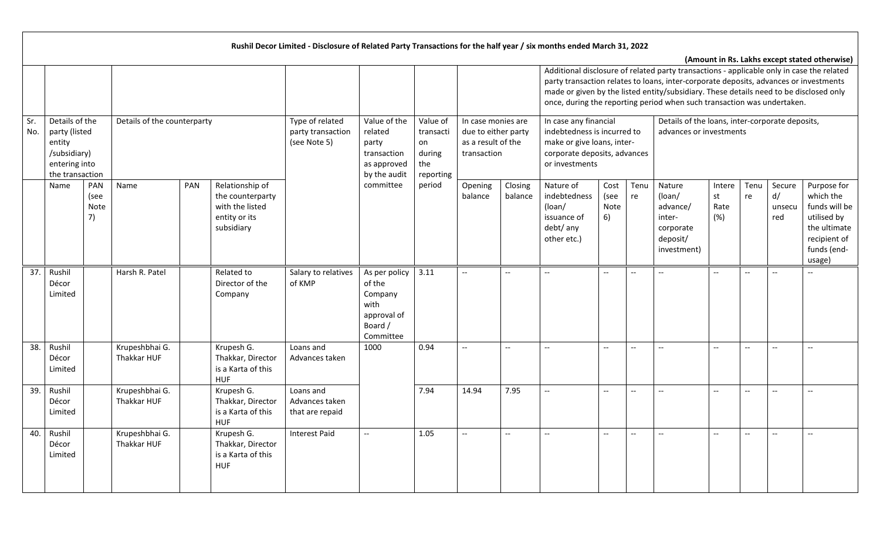|            |                                                                                               |                           |                               |                                                                                       | Rushil Decor Limited - Disclosure of Related Party Transactions for the half year / six months ended March 31, 2022 |                                                                                   |                                                           |                                                                                |                          |                                                                                                                                                                                                                                                                                                                                                         |                            |                                               |                                                                                |                             |                          |                               |                                                                                                                   |
|------------|-----------------------------------------------------------------------------------------------|---------------------------|-------------------------------|---------------------------------------------------------------------------------------|---------------------------------------------------------------------------------------------------------------------|-----------------------------------------------------------------------------------|-----------------------------------------------------------|--------------------------------------------------------------------------------|--------------------------|---------------------------------------------------------------------------------------------------------------------------------------------------------------------------------------------------------------------------------------------------------------------------------------------------------------------------------------------------------|----------------------------|-----------------------------------------------|--------------------------------------------------------------------------------|-----------------------------|--------------------------|-------------------------------|-------------------------------------------------------------------------------------------------------------------|
|            |                                                                                               |                           |                               |                                                                                       |                                                                                                                     |                                                                                   |                                                           |                                                                                |                          | Additional disclosure of related party transactions - applicable only in case the related<br>party transaction relates to loans, inter-corporate deposits, advances or investments<br>made or given by the listed entity/subsidiary. These details need to be disclosed only<br>once, during the reporting period when such transaction was undertaken. |                            |                                               |                                                                                |                             |                          |                               | (Amount in Rs. Lakhs except stated otherwise)                                                                     |
| Sr.<br>No. | Details of the<br>party (listed<br>entity<br>/subsidiary)<br>entering into<br>the transaction |                           | Details of the counterparty   |                                                                                       | Type of related<br>party transaction<br>(see Note 5)                                                                | Value of the<br>related<br>party<br>transaction<br>as approved<br>by the audit    | Value of<br>transacti<br>on<br>during<br>the<br>reporting | In case monies are<br>due to either party<br>as a result of the<br>transaction |                          | In case any financial<br>indebtedness is incurred to<br>make or give loans, inter-<br>corporate deposits, advances<br>or investments                                                                                                                                                                                                                    |                            |                                               | Details of the loans, inter-corporate deposits,<br>advances or investments     |                             |                          |                               |                                                                                                                   |
|            | Name                                                                                          | PAN<br>(see<br>Note<br>7) | PAN<br>Name                   | Relationship of<br>the counterparty<br>with the listed<br>entity or its<br>subsidiary |                                                                                                                     | committee                                                                         | period                                                    | Opening<br>balance                                                             | Closing<br>balance       | Nature of<br>indebtedness<br>(loan/<br>issuance of<br>debt/ any<br>other etc.)                                                                                                                                                                                                                                                                          | Cost<br>(see<br>Note<br>6) | Tenu<br>re                                    | Nature<br>(loan/<br>advance/<br>inter-<br>corporate<br>deposit/<br>investment) | Intere<br>st<br>Rate<br>(%) | Tenu<br>re               | Secure<br>d/<br>unsecu<br>red | Purpose for<br>which the<br>funds will be<br>utilised by<br>the ultimate<br>recipient of<br>funds (end-<br>usage) |
| 37.        | Rushil<br>Décor<br>Limited                                                                    |                           | Harsh R. Patel                | Related to<br>Director of the<br>Company                                              | Salary to relatives<br>of KMP                                                                                       | As per policy<br>of the<br>Company<br>with<br>approval of<br>Board /<br>Committee | 3.11                                                      | $\overline{\phantom{a}}$                                                       | $\overline{\phantom{a}}$ | $\overline{\phantom{a}}$                                                                                                                                                                                                                                                                                                                                | $\overline{\phantom{a}}$   | $\overline{a}$                                | $\overline{\phantom{a}}$                                                       | $-$                         | $-$                      | $\sim$                        |                                                                                                                   |
| 38.        | Rushil<br>Décor<br>Limited                                                                    |                           | Krupeshbhai G.<br>Thakkar HUF | Krupesh G.<br>Thakkar, Director<br>is a Karta of this<br><b>HUF</b>                   | Loans and<br>Advances taken                                                                                         | 1000                                                                              | 0.94                                                      | $\overline{a}$                                                                 | $\overline{a}$           | $\overline{\phantom{a}}$                                                                                                                                                                                                                                                                                                                                | $\overline{\phantom{a}}$   | $\overline{\phantom{a}}$                      | $\overline{a}$                                                                 | $\overline{a}$              | $\overline{a}$           |                               |                                                                                                                   |
| 39.        | Rushil<br>Décor<br>Limited                                                                    |                           | Krupeshbhai G.<br>Thakkar HUF | Krupesh G.<br>Thakkar, Director<br>is a Karta of this<br><b>HUF</b>                   | Loans and<br>Advances taken<br>that are repaid                                                                      |                                                                                   | 7.94                                                      | 14.94                                                                          | 7.95                     | --                                                                                                                                                                                                                                                                                                                                                      | --                         | $-$                                           | $\overline{\phantom{a}}$                                                       | $-$                         |                          |                               | $\overline{a}$                                                                                                    |
| 40.        | Rushil<br>Décor<br>Limited                                                                    |                           | Krupeshbhai G.<br>Thakkar HUF | Krupesh G.<br>Thakkar, Director<br>is a Karta of this<br><b>HUF</b>                   | <b>Interest Paid</b>                                                                                                | $-$                                                                               | 1.05                                                      | $\overline{\phantom{a}}$                                                       | $\overline{a}$           | $\mathbb{L}^{\mathbb{L}}$                                                                                                                                                                                                                                                                                                                               | $\ddotsc$                  | $\mathord{\hspace{1pt}\text{--}\hspace{1pt}}$ | $\overline{\phantom{a}}$                                                       | Щ.                          | $\overline{\phantom{a}}$ | $\overline{a}$                | $\overline{a}$                                                                                                    |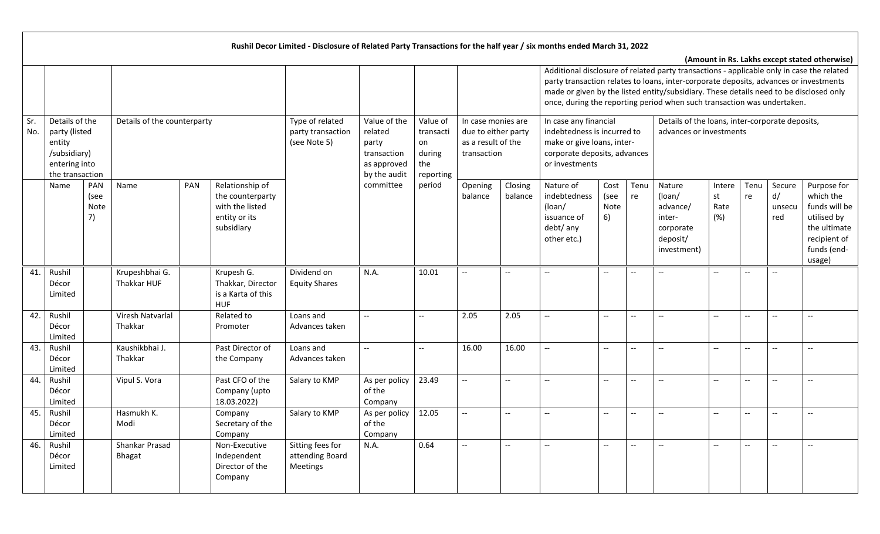|            |                                                                                               |                                   |     |                                                                                       | Rushil Decor Limited - Disclosure of Related Party Transactions for the half year / six months ended March 31, 2022 |                                                                                |                                                           |                                                                                |                    |                                                                                                                                                                                                                                                                                                                                                         |                                                     |                          |                                                                                |                             |            |                               |                                                                                                                   |
|------------|-----------------------------------------------------------------------------------------------|-----------------------------------|-----|---------------------------------------------------------------------------------------|---------------------------------------------------------------------------------------------------------------------|--------------------------------------------------------------------------------|-----------------------------------------------------------|--------------------------------------------------------------------------------|--------------------|---------------------------------------------------------------------------------------------------------------------------------------------------------------------------------------------------------------------------------------------------------------------------------------------------------------------------------------------------------|-----------------------------------------------------|--------------------------|--------------------------------------------------------------------------------|-----------------------------|------------|-------------------------------|-------------------------------------------------------------------------------------------------------------------|
|            |                                                                                               |                                   |     |                                                                                       |                                                                                                                     |                                                                                |                                                           |                                                                                |                    | Additional disclosure of related party transactions - applicable only in case the related<br>party transaction relates to loans, inter-corporate deposits, advances or investments<br>made or given by the listed entity/subsidiary. These details need to be disclosed only<br>once, during the reporting period when such transaction was undertaken. |                                                     |                          |                                                                                |                             |            |                               | (Amount in Rs. Lakhs except stated otherwise)                                                                     |
| Sr.<br>No. | Details of the<br>party (listed<br>entity<br>/subsidiary)<br>entering into<br>the transaction | Details of the counterparty       |     |                                                                                       | Type of related<br>party transaction<br>(see Note 5)                                                                | Value of the<br>related<br>party<br>transaction<br>as approved<br>by the audit | Value of<br>transacti<br>on<br>during<br>the<br>reporting | In case monies are<br>due to either party<br>as a result of the<br>transaction |                    | In case any financial<br>indebtedness is incurred to<br>make or give loans, inter-<br>corporate deposits, advances<br>or investments                                                                                                                                                                                                                    |                                                     |                          | Details of the loans, inter-corporate deposits,<br>advances or investments     |                             |            |                               |                                                                                                                   |
|            | Name                                                                                          | PAN<br>Name<br>(see<br>Note<br>7) | PAN | Relationship of<br>the counterparty<br>with the listed<br>entity or its<br>subsidiary |                                                                                                                     | committee                                                                      | period                                                    | Opening<br>balance                                                             | Closing<br>balance | Nature of<br>indebtedness<br>(loan/<br>issuance of<br>debt/ any<br>other etc.)                                                                                                                                                                                                                                                                          | Cost<br>(see<br>Note<br>6)                          | Tenu<br>re               | Nature<br>(loan/<br>advance/<br>inter-<br>corporate<br>deposit/<br>investment) | Intere<br>st<br>Rate<br>(%) | Tenu<br>re | Secure<br>d/<br>unsecu<br>red | Purpose for<br>which the<br>funds will be<br>utilised by<br>the ultimate<br>recipient of<br>funds (end-<br>usage) |
| 41.        | Rushil<br>Décor<br>Limited                                                                    | Krupeshbhai G.<br>Thakkar HUF     |     | Krupesh G.<br>Thakkar, Director<br>is a Karta of this<br><b>HUF</b>                   | Dividend on<br><b>Equity Shares</b>                                                                                 | N.A.                                                                           | 10.01                                                     | $\overline{\phantom{0}}$                                                       |                    |                                                                                                                                                                                                                                                                                                                                                         | $\overline{\phantom{a}}$                            | $\overline{\phantom{a}}$ | $\overline{\phantom{a}}$                                                       | $-$                         |            |                               |                                                                                                                   |
| 42.        | Rushil<br>Décor<br>Limited                                                                    | Viresh Natvarlal<br>Thakkar       |     | Related to<br>Promoter                                                                | Loans and<br>Advances taken                                                                                         | $\overline{\phantom{a}}$                                                       | $\sim$                                                    | 2.05                                                                           | 2.05               | --                                                                                                                                                                                                                                                                                                                                                      | $\overline{a}$                                      | $\overline{\phantom{a}}$ | $\overline{a}$                                                                 | --                          | $-$        |                               |                                                                                                                   |
| 43.        | Rushil<br>Décor<br>Limited                                                                    | Kaushikbhai J.<br>Thakkar         |     | Past Director of<br>the Company                                                       | Loans and<br>Advances taken                                                                                         | $\overline{\phantom{a}}$                                                       | $\overline{\phantom{a}}$                                  | 16.00                                                                          | 16.00              |                                                                                                                                                                                                                                                                                                                                                         | $\hspace{0.05cm} -\hspace{0.05cm} -\hspace{0.05cm}$ | $\overline{\phantom{a}}$ | $\qquad \qquad -$                                                              | --                          |            | $-$                           |                                                                                                                   |
| 44.        | Rushil<br>Décor<br>Limited                                                                    | Vipul S. Vora                     |     | Past CFO of the<br>Company (upto<br>18.03.2022)                                       | Salary to KMP                                                                                                       | As per policy<br>of the<br>Company                                             | 23.49                                                     | $\overline{\phantom{a}}$                                                       | --                 | --                                                                                                                                                                                                                                                                                                                                                      | $\hspace{0.05cm} -\hspace{0.05cm} -\hspace{0.05cm}$ | $-$                      | $\qquad \qquad -$                                                              | --                          |            | $-$                           |                                                                                                                   |
| 45.        | Rushil<br>Décor<br>Limited                                                                    | Hasmukh K.<br>Modi                |     | Company<br>Secretary of the<br>Company                                                | Salary to KMP                                                                                                       | As per policy<br>of the<br>Company                                             | 12.05                                                     | $\overline{\phantom{0}}$                                                       | $-$                |                                                                                                                                                                                                                                                                                                                                                         | $\overline{\phantom{a}}$                            | $\overline{\phantom{a}}$ | $\overline{\phantom{a}}$                                                       | $- -$                       | --         | --                            |                                                                                                                   |
| 46.        | Rushil<br>Décor<br>Limited                                                                    | Shankar Prasad<br><b>Bhagat</b>   |     | Non-Executive<br>Independent<br>Director of the<br>Company                            | Sitting fees for<br>attending Board<br>Meetings                                                                     | N.A.                                                                           | 0.64                                                      | $\overline{\phantom{a}}$                                                       | $-$                |                                                                                                                                                                                                                                                                                                                                                         | $\overline{\phantom{a}}$                            | $\overline{\phantom{a}}$ | $\overline{\phantom{a}}$                                                       | --                          |            |                               |                                                                                                                   |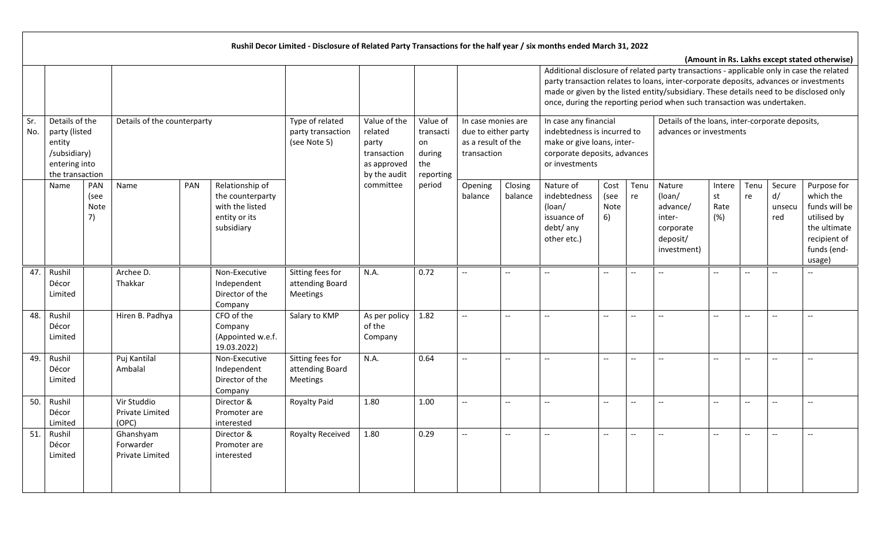|            |                                                                                               |                           |                                                  |     |                                                                                       | Rushil Decor Limited - Disclosure of Related Party Transactions for the half year / six months ended March 31, 2022 |                                                                                |                                                           |                                                                                |                    |                                                                                                                                                                                                                                                                                                                                                         |                                                     |                          |                                                                                |                             |            |                               |                                                                                                                   |
|------------|-----------------------------------------------------------------------------------------------|---------------------------|--------------------------------------------------|-----|---------------------------------------------------------------------------------------|---------------------------------------------------------------------------------------------------------------------|--------------------------------------------------------------------------------|-----------------------------------------------------------|--------------------------------------------------------------------------------|--------------------|---------------------------------------------------------------------------------------------------------------------------------------------------------------------------------------------------------------------------------------------------------------------------------------------------------------------------------------------------------|-----------------------------------------------------|--------------------------|--------------------------------------------------------------------------------|-----------------------------|------------|-------------------------------|-------------------------------------------------------------------------------------------------------------------|
|            |                                                                                               |                           |                                                  |     |                                                                                       |                                                                                                                     |                                                                                |                                                           |                                                                                |                    | Additional disclosure of related party transactions - applicable only in case the related<br>party transaction relates to loans, inter-corporate deposits, advances or investments<br>made or given by the listed entity/subsidiary. These details need to be disclosed only<br>once, during the reporting period when such transaction was undertaken. |                                                     |                          |                                                                                |                             |            |                               | (Amount in Rs. Lakhs except stated otherwise)                                                                     |
| Sr.<br>No. | Details of the<br>party (listed<br>entity<br>/subsidiary)<br>entering into<br>the transaction |                           | Details of the counterparty                      |     |                                                                                       | Type of related<br>party transaction<br>(see Note 5)                                                                | Value of the<br>related<br>party<br>transaction<br>as approved<br>by the audit | Value of<br>transacti<br>on<br>during<br>the<br>reporting | In case monies are<br>due to either party<br>as a result of the<br>transaction |                    | In case any financial<br>indebtedness is incurred to<br>make or give loans, inter-<br>corporate deposits, advances<br>or investments                                                                                                                                                                                                                    |                                                     |                          | Details of the loans, inter-corporate deposits,<br>advances or investments     |                             |            |                               |                                                                                                                   |
|            | Name                                                                                          | PAN<br>(see<br>Note<br>7) | Name                                             | PAN | Relationship of<br>the counterparty<br>with the listed<br>entity or its<br>subsidiary |                                                                                                                     | committee                                                                      | period                                                    | Opening<br>balance                                                             | Closing<br>balance | Nature of<br>indebtedness<br>(loan/<br>issuance of<br>debt/ any<br>other etc.)                                                                                                                                                                                                                                                                          | Cost<br>(see<br>Note<br>6)                          | Tenu<br>re               | Nature<br>(loan/<br>advance/<br>inter-<br>corporate<br>deposit/<br>investment) | Intere<br>st<br>Rate<br>(%) | Tenu<br>re | Secure<br>d/<br>unsecu<br>red | Purpose for<br>which the<br>funds will be<br>utilised by<br>the ultimate<br>recipient of<br>funds (end-<br>usage) |
| 47.        | Rushil<br>Décor<br>Limited                                                                    |                           | Archee D.<br>Thakkar                             |     | Non-Executive<br>Independent<br>Director of the<br>Company                            | Sitting fees for<br>attending Board<br>Meetings                                                                     | N.A.                                                                           | 0.72                                                      | $\overline{\phantom{0}}$                                                       | $-$                |                                                                                                                                                                                                                                                                                                                                                         | $\hspace{0.05cm} -\hspace{0.05cm} -\hspace{0.05cm}$ | $\overline{\phantom{a}}$ | $\overline{a}$                                                                 | $-$                         |            | Ξ.                            |                                                                                                                   |
| 48.        | Rushil<br>Décor<br>Limited                                                                    |                           | Hiren B. Padhya                                  |     | CFO of the<br>Company<br>(Appointed w.e.f.<br>19.03.2022)                             | Salary to KMP                                                                                                       | As per policy<br>of the<br>Company                                             | 1.82                                                      | $\overline{a}$                                                                 | $\overline{a}$     | $\overline{a}$                                                                                                                                                                                                                                                                                                                                          | $\overline{\phantom{m}}$                            | $\overline{a}$           | $\overline{a}$                                                                 | $-$                         | $-$        | $-$                           |                                                                                                                   |
| 49.        | Rushil<br>Décor<br>Limited                                                                    |                           | Puj Kantilal<br>Ambalal                          |     | Non-Executive<br>Independent<br>Director of the<br>Company                            | Sitting fees for<br>attending Board<br>Meetings                                                                     | N.A.                                                                           | 0.64                                                      | $\overline{a}$                                                                 | $\overline{a}$     | $\overline{a}$                                                                                                                                                                                                                                                                                                                                          | $-\hbox{--}$                                        | $\overline{\phantom{a}}$ | $\overline{\phantom{a}}$                                                       | $-$                         | $-$        | $\sim$                        |                                                                                                                   |
| 50.        | Rushil<br>Décor<br>Limited                                                                    |                           | Vir Studdio<br><b>Private Limited</b><br>(OPC)   |     | Director &<br>Promoter are<br>interested                                              | <b>Royalty Paid</b>                                                                                                 | 1.80                                                                           | 1.00                                                      | $\overline{\phantom{a}}$                                                       | --                 | $-$                                                                                                                                                                                                                                                                                                                                                     | $\hspace{0.05cm} -\hspace{0.05cm} -\hspace{0.05cm}$ | $\overline{\phantom{a}}$ | $\overline{a}$                                                                 | $-$                         |            |                               | $\overline{\phantom{a}}$                                                                                          |
| 51.        | Rushil<br>Décor<br>Limited                                                                    |                           | Ghanshyam<br>Forwarder<br><b>Private Limited</b> |     | Director &<br>Promoter are<br>interested                                              | Royalty Received                                                                                                    | 1.80                                                                           | 0.29                                                      | u.                                                                             | $-$                | Ξ.                                                                                                                                                                                                                                                                                                                                                      | $\overline{\phantom{m}}$                            | $\overline{a}$           | $\overline{\phantom{a}}$                                                       | $-$                         | $-$        | --                            | $\overline{a}$                                                                                                    |